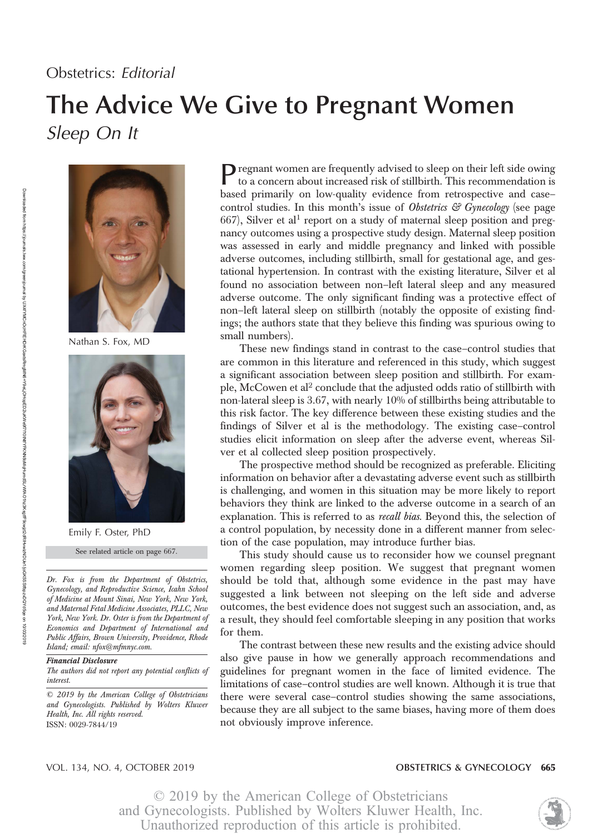## Obstetrics: Editorial

# The Advice We Give to Pregnant Women Sleep On It



Nathan S. Fox, MD



Emily F. Oster, PhD

See related article on page 667.

Dr. Fox is from the Department of Obstetrics, Gynecology, and Reproductive Science, Icahn School of Medicine at Mount Sinai, New York, New York, and Maternal Fetal Medicine Associates, PLLC, New York, New York. Dr. Oster is from the Department of Economics and Department of International and Public Affairs, Brown University, Providence, Rhode Island; email: nfox@mfmnyc.com.

### Financial Disclosure

The authors did not report any potential conflicts of interest.

© 2019 by the American College of Obstetricians and Gynecologists. Published by Wolters Kluwer Health, Inc. All rights reserved. ISSN: 0029-7844/19

Pregnant women are frequently advised to sleep on their left side owing<br>to a concern shout increased side of summary  $\Box$ to a concern about increased risk of stillbirth. This recommendation is based primarily on low-quality evidence from retrospective and case– control studies. In this month's issue of *Obstetrics*  $G$  *Gynecology* (see page  $667$ ), Silver et al<sup>1</sup> report on a study of maternal sleep position and pregnancy outcomes using a prospective study design. Maternal sleep position was assessed in early and middle pregnancy and linked with possible adverse outcomes, including stillbirth, small for gestational age, and gestational hypertension. In contrast with the existing literature, Silver et al found no association between non–left lateral sleep and any measured adverse outcome. The only significant finding was a protective effect of non–left lateral sleep on stillbirth (notably the opposite of existing findings; the authors state that they believe this finding was spurious owing to small numbers).

These new findings stand in contrast to the case–control studies that are common in this literature and referenced in this study, which suggest a significant association between sleep position and stillbirth. For example, McCowen et al<sup>2</sup> conclude that the adjusted odds ratio of stillbirth with non-lateral sleep is 3.67, with nearly 10% of stillbirths being attributable to this risk factor. The key difference between these existing studies and the findings of Silver et al is the methodology. The existing case–control studies elicit information on sleep after the adverse event, whereas Silver et al collected sleep position prospectively.

The prospective method should be recognized as preferable. Eliciting information on behavior after a devastating adverse event such as stillbirth is challenging, and women in this situation may be more likely to report behaviors they think are linked to the adverse outcome in a search of an explanation. This is referred to as *recall bias*. Beyond this, the selection of a control population, by necessity done in a different manner from selection of the case population, may introduce further bias.

This study should cause us to reconsider how we counsel pregnant women regarding sleep position. We suggest that pregnant women should be told that, although some evidence in the past may have suggested a link between not sleeping on the left side and adverse outcomes, the best evidence does not suggest such an association, and, as a result, they should feel comfortable sleeping in any position that works for them.

The contrast between these new results and the existing advice should also give pause in how we generally approach recommendations and guidelines for pregnant women in the face of limited evidence. The limitations of case–control studies are well known. Although it is true that there were several case–control studies showing the same associations, because they are all subject to the same biases, having more of them does not obviously improve inference.

#### VOL. 134, NO. 4, OCTOBER 2019 **CONTRACTER 1888 TO A CONTRACT A CONTRACT CONTRACT CONTRACT 665**

© 2019 by the American College of Obstetricians and Gynecologists. Published by Wolters Kluwer Health, Inc. Unauthorized reproduction of this article is prohibited.